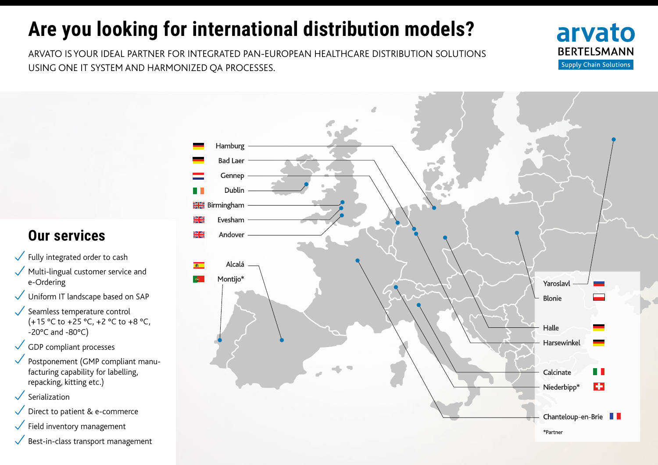## **Are you looking for international distribution models?**

ARVATO IS YOUR IDEAL PARTNER FOR INTEGRATED PAN-EUROPEAN HEALTHCARE DISTRIBUTION SOLUTIONS USING ONE IT SYSTEM AND HARMONIZED QA PROCESSES.





## **Our services**

- Fully integrated order to cash  $\checkmark$
- $\sqrt{\phantom{a}}$  Multi-lingual customer service and e-Ordering
- Uniform IT landscape based on SAP
- Seamless temperature control (+15 °C to +25 °C, +2 °C to +8 °C,  $-20^{\circ}$ C and  $-80^{\circ}$ C)
- GDP compliant processes
- Postponement (GMP compliant manufacturing capability for labelling, repacking, kitting etc.)
- Serialization
- Direct to patient & e-commerce  $\checkmark$
- Field inventory management
- $\checkmark$ Best-in-class transport management